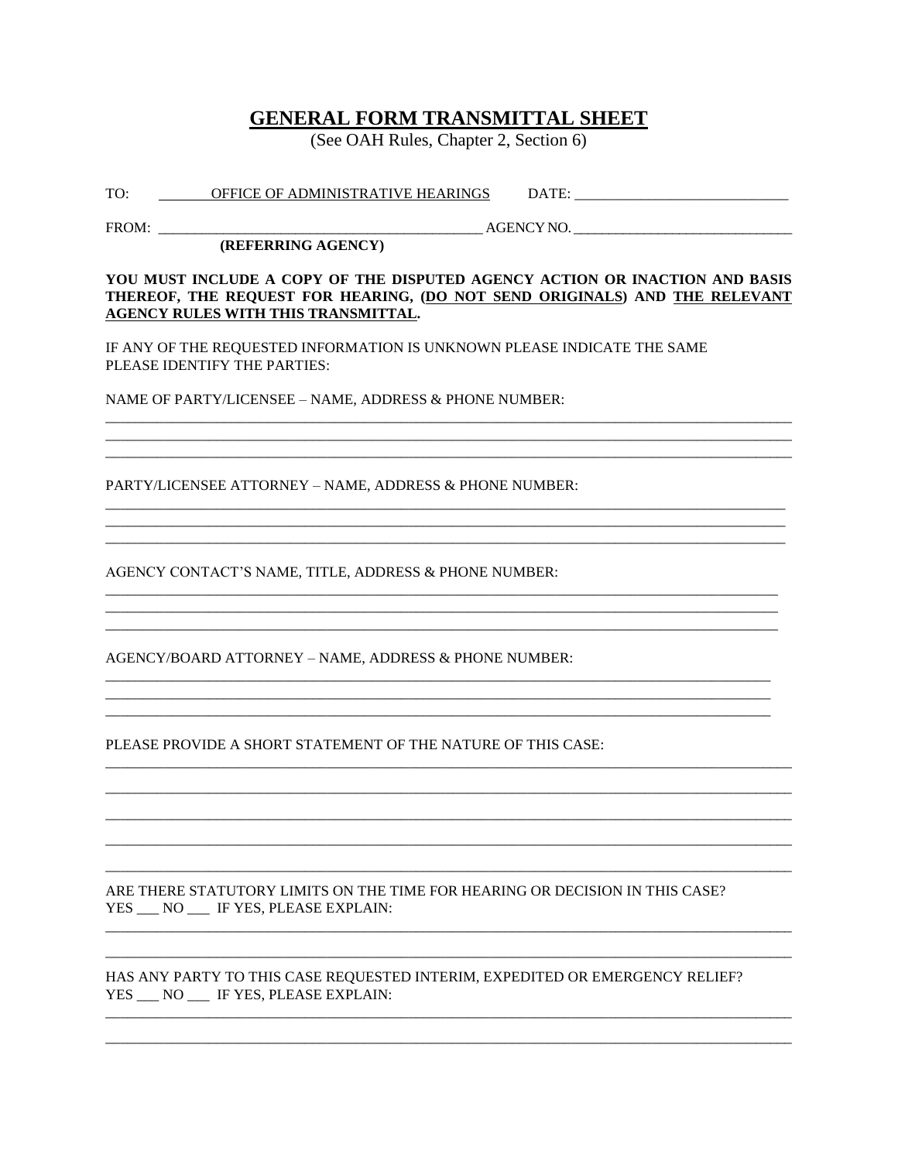## **GENERAL FORM TRANSMITTAL SHEET**

(See OAH Rules, Chapter 2, Section 6)

|     |                                   | ATIT |  |
|-----|-----------------------------------|------|--|
| TO: | OFFICE OF ADMINISTRATIVE HEARINGS |      |  |

 $FROM:$ 

AGENCY NO.

(REFERRING AGENCY)

## YOU MUST INCLUDE A COPY OF THE DISPUTED AGENCY ACTION OR INACTION AND BASIS THEREOF, THE REQUEST FOR HEARING, (DO NOT SEND ORIGINALS) AND THE RELEVANT **AGENCY RULES WITH THIS TRANSMITTAL.**

IF ANY OF THE REQUESTED INFORMATION IS UNKNOWN PLEASE INDICATE THE SAME PLEASE IDENTIFY THE PARTIES:

NAME OF PARTY/LICENSEE - NAME, ADDRESS & PHONE NUMBER:

PARTY/LICENSEE ATTORNEY - NAME, ADDRESS & PHONE NUMBER:

AGENCY CONTACT'S NAME, TITLE, ADDRESS & PHONE NUMBER:

AGENCY/BOARD ATTORNEY – NAME, ADDRESS & PHONE NUMBER:

PLEASE PROVIDE A SHORT STATEMENT OF THE NATURE OF THIS CASE:

ARE THERE STATUTORY LIMITS ON THE TIME FOR HEARING OR DECISION IN THIS CASE? YES \_\_ NO \_\_ IF YES, PLEASE EXPLAIN:

HAS ANY PARTY TO THIS CASE REQUESTED INTERIM, EXPEDITED OR EMERGENCY RELIEF? YES NO IF YES, PLEASE EXPLAIN: